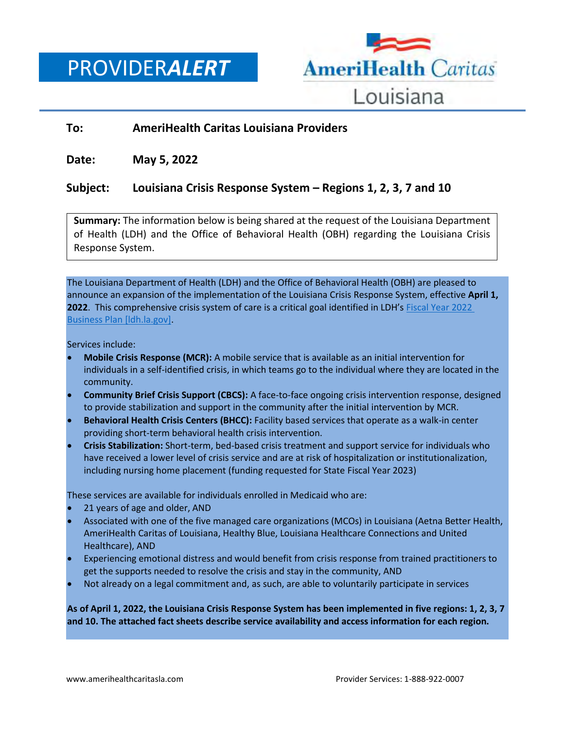PROVIDER*ALERT*



## **To: AmeriHealth Caritas Louisiana Providers**

**Date: May 5, 2022**

## **Subject: Louisiana Crisis Response System – Regions 1, 2, 3, 7 and 10**

**Summary:** The information below is being shared at the request of the Louisiana Department of Health (LDH) and the Office of Behavioral Health (OBH) regarding the Louisiana Crisis Response System.

The Louisiana Department of Health (LDH) and the Office of Behavioral Health (OBH) are pleased to announce an expansion of the implementation of the Louisiana Crisis Response System, effective **April 1, 2022**. This comprehensive crisis system of care is a critical goal identified in LDH's [Fiscal Year 2022](https://urldefense.com/v3/__https:/ldh.la.gov/businessplan__;!!E4aHFgIl6QUyrQ!8daJhP24AJnbYCXjh_Q7V8tpupqZedok9A34sxnL2Digzu5tZXdAVfd4HFHBx5LLTgx9PVyWtacWkSER33v28O6GY3aV$)  [Business Plan \[ldh.la.gov\].](https://urldefense.com/v3/__https:/ldh.la.gov/businessplan__;!!E4aHFgIl6QUyrQ!8daJhP24AJnbYCXjh_Q7V8tpupqZedok9A34sxnL2Digzu5tZXdAVfd4HFHBx5LLTgx9PVyWtacWkSER33v28O6GY3aV$)

Services include:

- **Mobile Crisis Response (MCR):** A mobile service that is available as an initial intervention for individuals in a self-identified crisis, in which teams go to the individual where they are located in the community.
- **Community Brief Crisis Support (CBCS):** A face-to-face ongoing crisis intervention response, designed to provide stabilization and support in the community after the initial intervention by MCR.
- **Behavioral Health Crisis Centers (BHCC):** Facility based services that operate as a walk-in center providing short-term behavioral health crisis intervention.
- **Crisis Stabilization:** Short-term, bed-based crisis treatment and support service for individuals who have received a lower level of crisis service and are at risk of hospitalization or institutionalization, including nursing home placement (funding requested for State Fiscal Year 2023)

These services are available for individuals enrolled in Medicaid who are:

- 21 years of age and older, AND
- Associated with one of the five managed care organizations (MCOs) in Louisiana (Aetna Better Health, AmeriHealth Caritas of Louisiana, Healthy Blue, Louisiana Healthcare Connections and United Healthcare), AND
- Experiencing emotional distress and would benefit from crisis response from trained practitioners to get the supports needed to resolve the crisis and stay in the community, AND
- Not already on a legal commitment and, as such, are able to voluntarily participate in services

**As of April 1, 2022, the Louisiana Crisis Response System has been implemented in five regions: 1, 2, 3, 7 and 10. The attached fact sheets describe service availability and access information for each region.**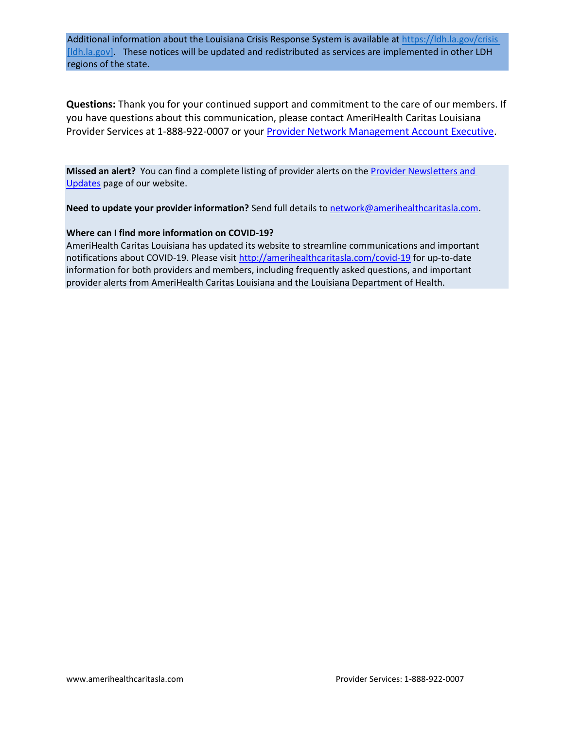Additional information about the Louisiana Crisis Response System is available at [https://ldh.la.gov/crisis](https://urldefense.com/v3/__https:/ldh.la.gov/crisis__;!!E4aHFgIl6QUyrQ!8daJhP24AJnbYCXjh_Q7V8tpupqZedok9A34sxnL2Digzu5tZXdAVfd4HFHBx5LLTgx9PVyWtacWkSER33v28GtjOkFd$)  [Idh.la.gov]. These notices will be updated and redistributed as services are implemented in other LDH regions of the state.

**Questions:** Thank you for your continued support and commitment to the care of our members. If you have questions about this communication, please contact AmeriHealth Caritas Louisiana Provider Services at 1-888-922-0007 or you[r Provider Network Management Account Executive.](http://www.amerihealthcaritasla.com/pdf/provider/account-executives.pdf)

**Missed an alert?** You can find a complete listing of provider alerts on th[e Provider Newsletters and](http://amerihealthcaritasla.com/provider/newsletters-and-updates)  [Updates](http://amerihealthcaritasla.com/provider/newsletters-and-updates) page of our website.

**Need to update your provider information?** Send full details to [network@amerihealthcaritasla.com.](file://///nasfsu01/LAusers/kf20871/My%20Documents/network@amerihealthcaritasla.com)

## **Where can I find more information on COVID-19?**

AmeriHealth Caritas Louisiana has updated its website to streamline communications and important notifications about COVID-19. Please visit<http://amerihealthcaritasla.com/covid-19> for up-to-date information for both providers and members, including frequently asked questions, and important provider alerts from AmeriHealth Caritas Louisiana and the Louisiana Department of Health.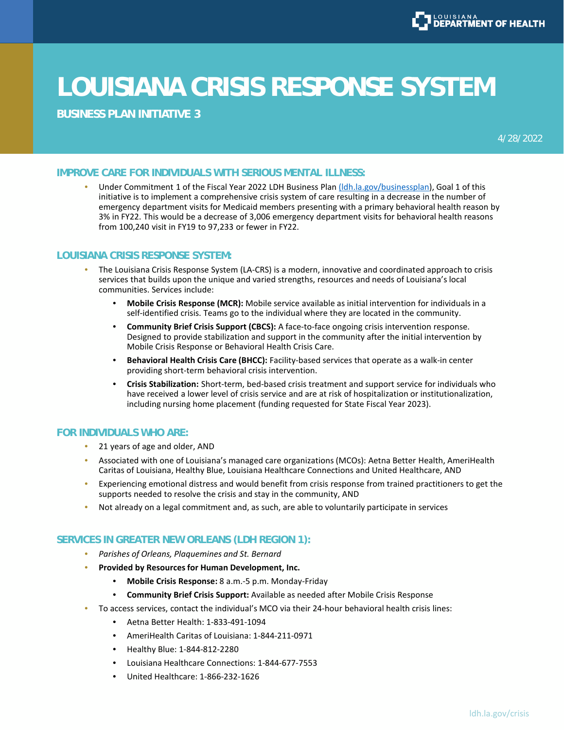**BUSINESS PLAN INITIATIVE 3**

4/28/2022

## **IMPROVE CARE FOR INDIVIDUALS WITH SERIOUS MENTAL ILLNESS:**

Under Commitment 1 of the Fiscal Year 2022 LDH Business Plan (Idh.la.gov/businessplan), Goal 1 of this initiative is to implement a comprehensive crisis system of care resulting in a decrease in the number of emergency department visits for Medicaid members presenting with a primary behavioral health reason by 3% in FY22. This would be a decrease of 3,006 emergency department visits for behavioral health reasons from 100,240 visit in FY19 to 97,233 or fewer in FY22.

### **LOUISIANA CRISIS RESPONSE SYSTEM:**

- The Louisiana Crisis Response System (LA-CRS) is a modern, innovative and coordinated approach to crisis services that builds upon the unique and varied strengths, resources and needs of Louisiana's local communities. Services include:
	- **Mobile Crisis Response (MCR):** Mobile service available as initial intervention for individuals in a self-identified crisis. Teams go to the individual where they are located in the community.
	- **Community Brief Crisis Support (CBCS):** A face-to-face ongoing crisis intervention response. Designed to provide stabilization and support in the community after the initial intervention by Mobile Crisis Response or Behavioral Health Crisis Care.
	- **Behavioral Health Crisis Care (BHCC):** Facility-based services that operate as a walk-in center providing short-term behavioral crisis intervention.
	- **Crisis Stabilization:** Short-term, bed-based crisis treatment and support service for individuals who have received a lower level of crisis service and are at risk of hospitalization or institutionalization, including nursing home placement (funding requested for State Fiscal Year 2023).

## **FOR INDIVIDUALS WHO ARE:**

- 21 years of age and older, AND
- Associated with one of Louisiana's managed care organizations (MCOs): Aetna Better Health, AmeriHealth Caritas of Louisiana, Healthy Blue, Louisiana Healthcare Connections and United Healthcare, AND
- Experiencing emotional distress and would benefit from crisis response from trained practitioners to get the supports needed to resolve the crisis and stay in the community, AND
- Not already on a legal commitment and, as such, are able to voluntarily participate in services

### **SERVICES IN GREATER NEW ORLEANS (LDH REGION 1):**

- *Parishes of Orleans, Plaquemines and St. Bernard*
- **Provided by Resources for Human Development, Inc.**
	- **Mobile Crisis Response:** 8 a.m.-5 p.m. Monday-Friday
	- **Community Brief Crisis Support:** Available as needed after Mobile Crisis Response
- To access services, contact the individual's MCO via their 24-hour behavioral health crisis lines:
	- Aetna Better Health: 1-833-491-1094
	- AmeriHealth Caritas of Louisiana: 1-844-211-0971
	- Healthy Blue: 1-844-812-2280
	- Louisiana Healthcare Connections: 1-844-677-7553
	- United Healthcare: 1-866-232-1626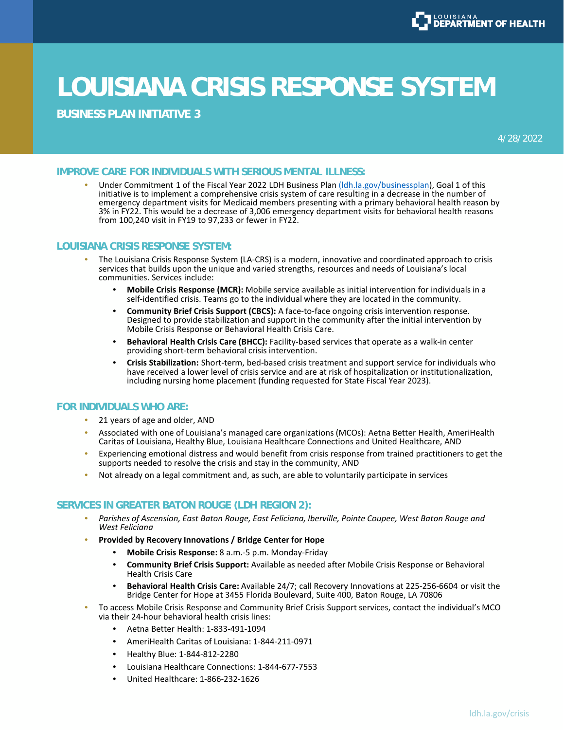

**BUSINESS PLAN INITIATIVE 3**

4/28/2022

#### **IMPROVE CARE FOR INDIVIDUALS WITH SERIOUS MENTAL ILLNESS:**

Under Commitment 1 of the Fiscal Year 2022 LDH Business Plan (Idh.la.gov/businessplan), Goal 1 of this initiative is to implement a comprehensive crisis system of care resulting in a decrease in the number of emergency department visits for Medicaid members presenting with a primary behavioral health reason by 3% in FY22. This would be a decrease of 3,006 emergency department visits for behavioral health reasons from 100,240 visit in FY19 to 97,233 or fewer in FY22.

#### **LOUISIANA CRISIS RESPONSE SYSTEM:**

- The Louisiana Crisis Response System (LA-CRS) is a modern, innovative and coordinated approach to crisis services that builds upon the unique and varied strengths, resources and needs of Louisiana's local communities. Services include:
	- **Mobile Crisis Response (MCR):** Mobile service available as initial intervention for individuals in a self-identified crisis. Teams go to the individual where they are located in the community.
	- **Community Brief Crisis Support (CBCS):** A face-to-face ongoing crisis intervention response. Designed to provide stabilization and support in the community after the initial intervention by Mobile Crisis Response or Behavioral Health Crisis Care.
	- **Behavioral Health Crisis Care (BHCC):** Facility-based services that operate as a walk-in center providing short-term behavioral crisis intervention.
	- **Crisis Stabilization:** Short-term, bed-based crisis treatment and support service for individuals who have received a lower level of crisis service and are at risk of hospitalization or institutionalization, including nursing home placement (funding requested for State Fiscal Year 2023).

## **FOR INDIVIDUALS WHO ARE:**

- 21 years of age and older, AND
- Associated with one of Louisiana's managed care organizations (MCOs): Aetna Better Health, AmeriHealth Caritas of Louisiana, Healthy Blue, Louisiana Healthcare Connections and United Healthcare, AND
- Experiencing emotional distress and would benefit from crisis response from trained practitioners to get the supports needed to resolve the crisis and stay in the community, AND
- Not already on a legal commitment and, as such, are able to voluntarily participate in services

### **SERVICES IN GREATER BATON ROUGE (LDH REGION 2):**

- *Parishes of Ascension, East Baton Rouge, East Feliciana, Iberville, Pointe Coupee, West Baton Rouge and West Feliciana*
- **Provided by Recovery Innovations / Bridge Center for Hope**
	- **Mobile Crisis Response:** 8 a.m.-5 p.m. Monday-Friday
	- **Community Brief Crisis Support:** Available as needed after Mobile Crisis Response or Behavioral Health Crisis Care
	- **Behavioral Health Crisis Care:** Available 24/7; call Recovery Innovations at 225-256-6604 or visit the Bridge Center for Hope at 3455 Florida Boulevard, Suite 400, Baton Rouge, LA 70806
- To access Mobile Crisis Response and Community Brief Crisis Support services, contact the individual's MCO via their 24-hour behavioral health crisis lines:
	- Aetna Better Health: 1-833-491-1094
	- AmeriHealth Caritas of Louisiana: 1-844-211-0971
	- Healthy Blue: 1-844-812-2280
	- Louisiana Healthcare Connections: 1-844-677-7553
	- United Healthcare: 1-866-232-1626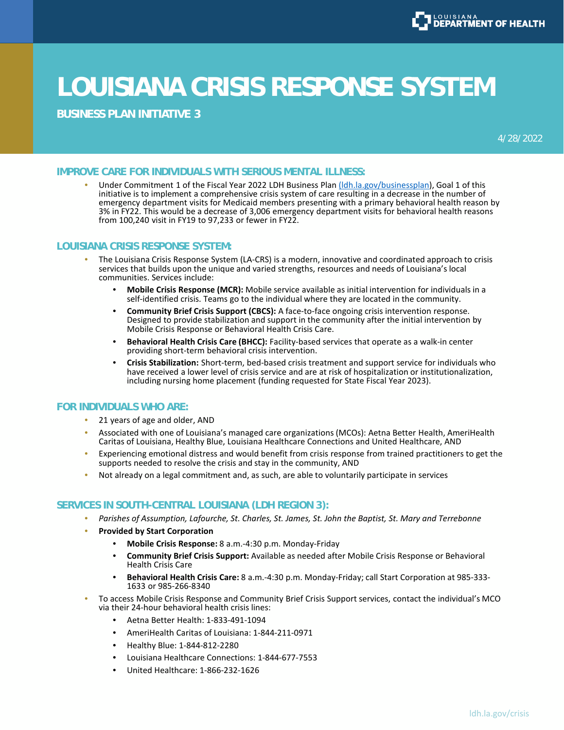

**BUSINESS PLAN INITIATIVE 3**

4/28/2022

#### **IMPROVE CARE FOR INDIVIDUALS WITH SERIOUS MENTAL ILLNESS:**

Under Commitment 1 of the Fiscal Year 2022 LDH Business Plan (Idh.la.gov/businessplan), Goal 1 of this initiative is to implement a comprehensive crisis system of care resulting in a decrease in the number of emergency department visits for Medicaid members presenting with a primary behavioral health reason by 3% in FY22. This would be a decrease of 3,006 emergency department visits for behavioral health reasons from 100,240 visit in FY19 to 97,233 or fewer in FY22.

#### **LOUISIANA CRISIS RESPONSE SYSTEM:**

- The Louisiana Crisis Response System (LA-CRS) is a modern, innovative and coordinated approach to crisis services that builds upon the unique and varied strengths, resources and needs of Louisiana's local communities. Services include:
	- **Mobile Crisis Response (MCR):** Mobile service available as initial intervention for individuals in a self-identified crisis. Teams go to the individual where they are located in the community.
	- **Community Brief Crisis Support (CBCS):** A face-to-face ongoing crisis intervention response. Designed to provide stabilization and support in the community after the initial intervention by Mobile Crisis Response or Behavioral Health Crisis Care.
	- **Behavioral Health Crisis Care (BHCC):** Facility-based services that operate as a walk-in center providing short-term behavioral crisis intervention.
	- **Crisis Stabilization:** Short-term, bed-based crisis treatment and support service for individuals who have received a lower level of crisis service and are at risk of hospitalization or institutionalization, including nursing home placement (funding requested for State Fiscal Year 2023).

## **FOR INDIVIDUALS WHO ARE:**

- 21 years of age and older, AND
- Associated with one of Louisiana's managed care organizations (MCOs): Aetna Better Health, AmeriHealth Caritas of Louisiana, Healthy Blue, Louisiana Healthcare Connections and United Healthcare, AND
- Experiencing emotional distress and would benefit from crisis response from trained practitioners to get the supports needed to resolve the crisis and stay in the community, AND
- Not already on a legal commitment and, as such, are able to voluntarily participate in services

#### **SERVICES IN SOUTH-CENTRAL LOUISIANA (LDH REGION 3):**

- *Parishes of Assumption, Lafourche, St. Charles, St. James, St. John the Baptist, St. Mary and Terrebonne*
- **Provided by Start Corporation**
	- **Mobile Crisis Response:** 8 a.m.-4:30 p.m. Monday-Friday
	- **Community Brief Crisis Support:** Available as needed after Mobile Crisis Response or Behavioral Health Crisis Care
	- **Behavioral Health Crisis Care:** 8 a.m.-4:30 p.m. Monday-Friday; call Start Corporation at 985-333- 1633 or 985-266-8340
- To access Mobile Crisis Response and Community Brief Crisis Support services, contact the individual's MCO via their 24-hour behavioral health crisis lines:
	- Aetna Better Health: 1-833-491-1094
	- AmeriHealth Caritas of Louisiana: 1-844-211-0971
	- Healthy Blue: 1-844-812-2280
	- Louisiana Healthcare Connections: 1-844-677-7553
	- United Healthcare: 1-866-232-1626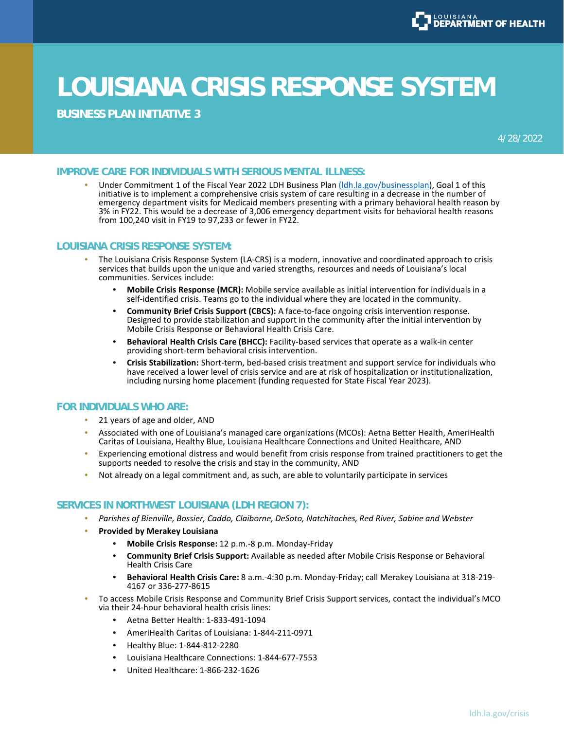

**BUSINESS PLAN INITIATIVE 3**

4/28/2022

#### **IMPROVE CARE FOR INDIVIDUALS WITH SERIOUS MENTAL ILLNESS:**

Under Commitment 1 of the Fiscal Year 2022 LDH Business Plan (Idh.la.gov/businessplan), Goal 1 of this initiative is to implement a comprehensive crisis system of care resulting in a decrease in the number of emergency department visits for Medicaid members presenting with a primary behavioral health reason by 3% in FY22. This would be a decrease of 3,006 emergency department visits for behavioral health reasons from 100,240 visit in FY19 to 97,233 or fewer in FY22.

#### **LOUISIANA CRISIS RESPONSE SYSTEM:**

- The Louisiana Crisis Response System (LA-CRS) is a modern, innovative and coordinated approach to crisis services that builds upon the unique and varied strengths, resources and needs of Louisiana's local communities. Services include:
	- **Mobile Crisis Response (MCR):** Mobile service available as initial intervention for individuals in a self-identified crisis. Teams go to the individual where they are located in the community.
	- **Community Brief Crisis Support (CBCS):** A face-to-face ongoing crisis intervention response. Designed to provide stabilization and support in the community after the initial intervention by Mobile Crisis Response or Behavioral Health Crisis Care.
	- **Behavioral Health Crisis Care (BHCC):** Facility-based services that operate as a walk-in center providing short-term behavioral crisis intervention.
	- **Crisis Stabilization:** Short-term, bed-based crisis treatment and support service for individuals who have received a lower level of crisis service and are at risk of hospitalization or institutionalization, including nursing home placement (funding requested for State Fiscal Year 2023).

## **FOR INDIVIDUALS WHO ARE:**

- 21 years of age and older, AND
- Associated with one of Louisiana's managed care organizations (MCOs): Aetna Better Health, AmeriHealth Caritas of Louisiana, Healthy Blue, Louisiana Healthcare Connections and United Healthcare, AND
- Experiencing emotional distress and would benefit from crisis response from trained practitioners to get the supports needed to resolve the crisis and stay in the community, AND
- Not already on a legal commitment and, as such, are able to voluntarily participate in services

#### **SERVICES IN NORTHWEST LOUISIANA (LDH REGION 7):**

- *Parishes of Bienville, Bossier, Caddo, Claiborne, DeSoto, Natchitoches, Red River, Sabine and Webster*
- **Provided by Merakey Louisiana**
	- **Mobile Crisis Response:** 12 p.m.-8 p.m. Monday-Friday
	- **Community Brief Crisis Support:** Available as needed after Mobile Crisis Response or Behavioral Health Crisis Care
	- **Behavioral Health Crisis Care:** 8 a.m.-4:30 p.m. Monday-Friday; call Merakey Louisiana at 318-219- 4167 or 336-277-8615
- To access Mobile Crisis Response and Community Brief Crisis Support services, contact the individual's MCO via their 24-hour behavioral health crisis lines:
	- Aetna Better Health: 1-833-491-1094
	- AmeriHealth Caritas of Louisiana: 1-844-211-0971
	- Healthy Blue: 1-844-812-2280
	- Louisiana Healthcare Connections: 1-844-677-7553
	- United Healthcare: 1-866-232-1626